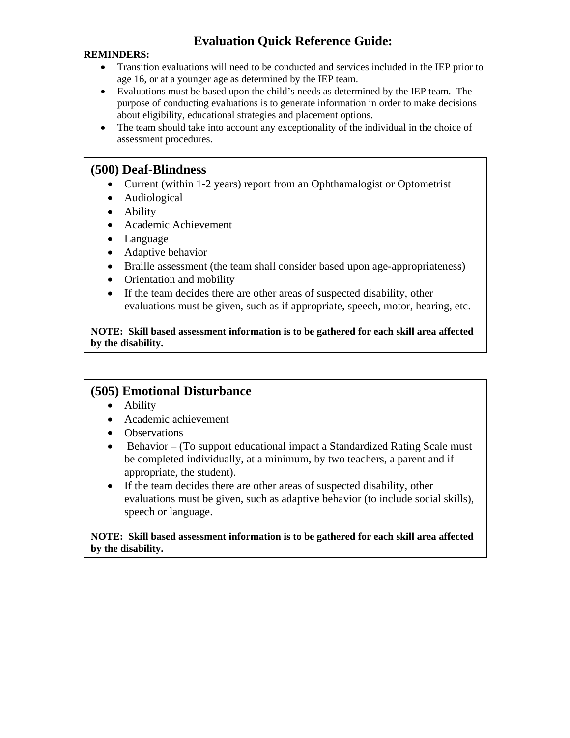## **Evaluation Quick Reference Guide:**

#### **REMINDERS:**

- Transition evaluations will need to be conducted and services included in the IEP prior to age 16, or at a younger age as determined by the IEP team.
- Evaluations must be based upon the child's needs as determined by the IEP team. The purpose of conducting evaluations is to generate information in order to make decisions about eligibility, educational strategies and placement options.
- The team should take into account any exceptionality of the individual in the choice of assessment procedures.

#### **(500) Deaf-Blindness**

- Current (within 1-2 years) report from an Ophthamalogist or Optometrist
- Audiological
- Ability
- Academic Achievement
- Language
- Adaptive behavior
- Braille assessment (the team shall consider based upon age-appropriateness)
- Orientation and mobility
- If the team decides there are other areas of suspected disability, other evaluations must be given, such as if appropriate, speech, motor, hearing, etc.

**NOTE: Skill based assessment information is to be gathered for each skill area affected by the disability.** 

### **(505) Emotional Disturbance**

- Ability
- Academic achievement
- Observations
- Behavior (To support educational impact a Standardized Rating Scale must be completed individually, at a minimum, by two teachers, a parent and if appropriate, the student).
- If the team decides there are other areas of suspected disability, other evaluations must be given, such as adaptive behavior (to include social skills), speech or language.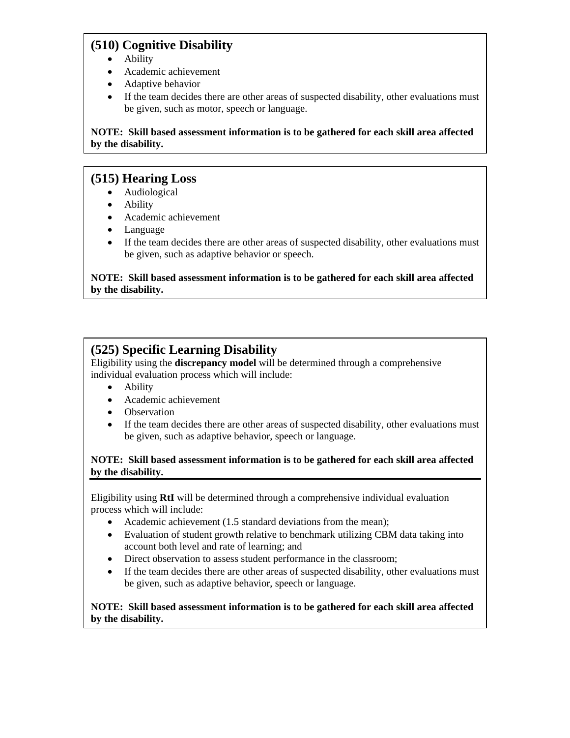## **(510) Cognitive Disability**

- Ability
- Academic achievement
- Adaptive behavior
- If the team decides there are other areas of suspected disability, other evaluations must be given, such as motor, speech or language.

**NOTE: Skill based assessment information is to be gathered for each skill area affected by the disability.** 

## **(515) Hearing Loss**

- Audiological
- Ability
- Academic achievement
- Language
- If the team decides there are other areas of suspected disability, other evaluations must be given, such as adaptive behavior or speech.

**NOTE: Skill based assessment information is to be gathered for each skill area affected by the disability.** 

## **(525) Specific Learning Disability**

Eligibility using the **discrepancy model** will be determined through a comprehensive individual evaluation process which will include:

- Ability
- Academic achievement
- Observation
- If the team decides there are other areas of suspected disability, other evaluations must be given, such as adaptive behavior, speech or language.

#### **NOTE: Skill based assessment information is to be gathered for each skill area affected by the disability.**

Eligibility using **RtI** will be determined through a comprehensive individual evaluation process which will include:

- Academic achievement (1.5 standard deviations from the mean);
- Evaluation of student growth relative to benchmark utilizing CBM data taking into account both level and rate of learning; and
- Direct observation to assess student performance in the classroom;
- If the team decides there are other areas of suspected disability, other evaluations must be given, such as adaptive behavior, speech or language.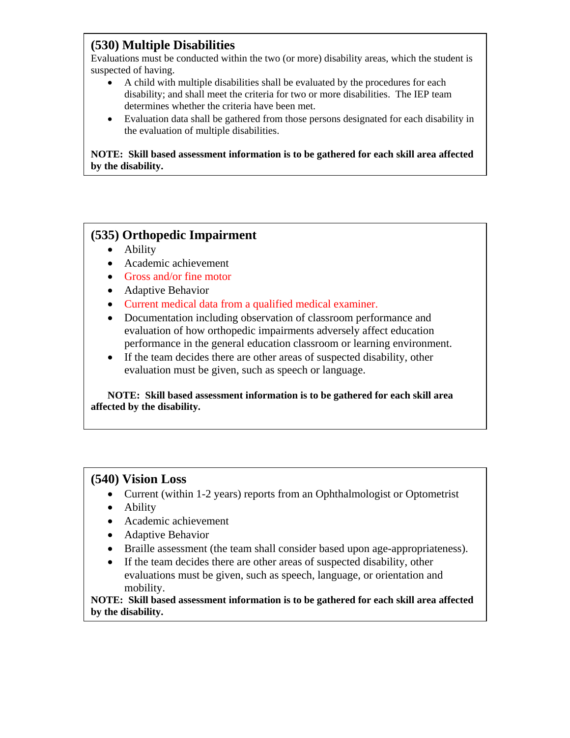### **(530) Multiple Disabilities**

Evaluations must be conducted within the two (or more) disability areas, which the student is suspected of having.

- A child with multiple disabilities shall be evaluated by the procedures for each disability; and shall meet the criteria for two or more disabilities. The IEP team determines whether the criteria have been met.
- Evaluation data shall be gathered from those persons designated for each disability in the evaluation of multiple disabilities.

**NOTE: Skill based assessment information is to be gathered for each skill area affected by the disability.** 

## **(535) Orthopedic Impairment**

- Ability
- Academic achievement
- Gross and/or fine motor
- Adaptive Behavior
- Current medical data from a qualified medical examiner.
- Documentation including observation of classroom performance and evaluation of how orthopedic impairments adversely affect education performance in the general education classroom or learning environment.
- If the team decides there are other areas of suspected disability, other evaluation must be given, such as speech or language.

**NOTE: Skill based assessment information is to be gathered for each skill area affected by the disability.** 

### **(540) Vision Loss**

- Current (within 1-2 years) reports from an Ophthalmologist or Optometrist
- Ability
- Academic achievement
- Adaptive Behavior
- Braille assessment (the team shall consider based upon age-appropriateness).
- If the team decides there are other areas of suspected disability, other evaluations must be given, such as speech, language, or orientation and mobility.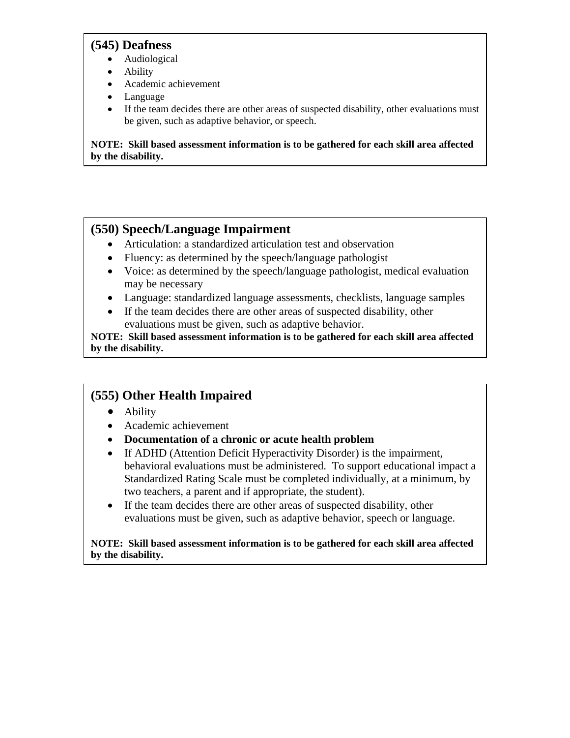#### **(545) Deafness**

- Audiological
- Ability
- Academic achievement
- Language
- If the team decides there are other areas of suspected disability, other evaluations must be given, such as adaptive behavior, or speech.

**NOTE: Skill based assessment information is to be gathered for each skill area affected by the disability.** 

## **(550) Speech/Language Impairment**

- Articulation: a standardized articulation test and observation
- Fluency: as determined by the speech/language pathologist
- Voice: as determined by the speech/language pathologist, medical evaluation may be necessary
- Language: standardized language assessments, checklists, language samples
- If the team decides there are other areas of suspected disability, other evaluations must be given, such as adaptive behavior.

**NOTE: Skill based assessment information is to be gathered for each skill area affected by the disability.** 

# **(555) Other Health Impaired**

- Ability
- Academic achievement
- **Documentation of a chronic or acute health problem**
- If ADHD (Attention Deficit Hyperactivity Disorder) is the impairment, behavioral evaluations must be administered. To support educational impact a Standardized Rating Scale must be completed individually, at a minimum, by two teachers, a parent and if appropriate, the student).
- If the team decides there are other areas of suspected disability, other evaluations must be given, such as adaptive behavior, speech or language.